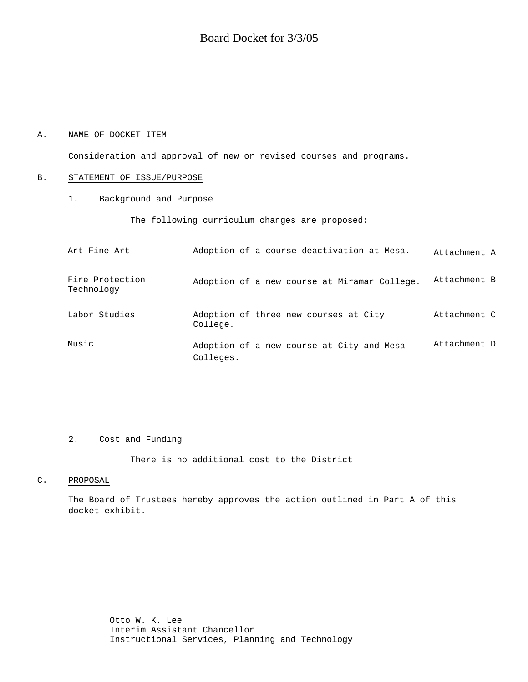# Board Docket for 3/3/05

# A. NAME OF DOCKET ITEM

Consideration and approval of new or revised courses and programs.

#### B. STATEMENT OF ISSUE/PURPOSE

1. Background and Purpose

The following curriculum changes are proposed:

| Art-Fine Art                  | Adoption of a course deactivation at Mesa.             | Attachment A |
|-------------------------------|--------------------------------------------------------|--------------|
| Fire Protection<br>Technology | Adoption of a new course at Miramar College.           | Attachment B |
| Labor Studies                 | Adoption of three new courses at City<br>College.      | Attachment C |
| Music                         | Adoption of a new course at City and Mesa<br>Colleges. | Attachment D |

# 2. Cost and Funding

There is no additional cost to the District

# C. PROPOSAL

The Board of Trustees hereby approves the action outlined in Part A of this docket exhibit.

> Otto W. K. Lee Interim Assistant Chancellor Instructional Services, Planning and Technology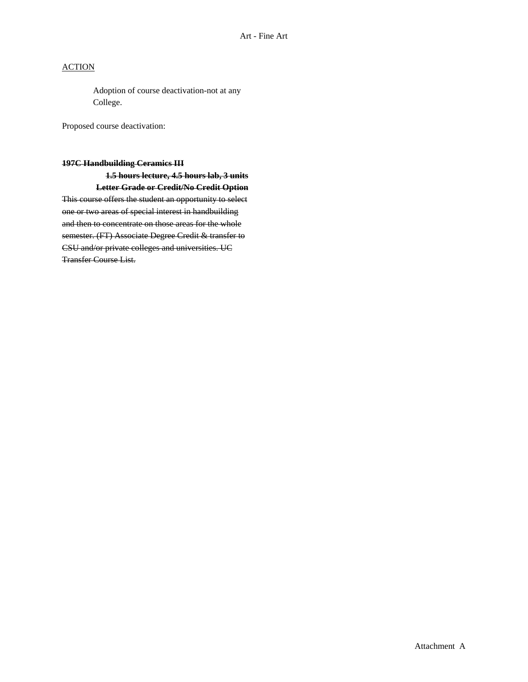# **ACTION**

Adoption of course deactivation-not at any College.

Proposed course deactivation:

# **197C Handbuilding Ceramics III**

**1.5 hours lecture, 4.5 hours lab, 3 units Letter Grade or Credit/No Credit Option** This course offers the student an opportunity to select one or two areas of special interest in handbuilding and then to concentrate on those areas for the whole semester. (FT) Associate Degree Credit & transfer to CSU and/or private colleges and universities. UC Transfer Course List.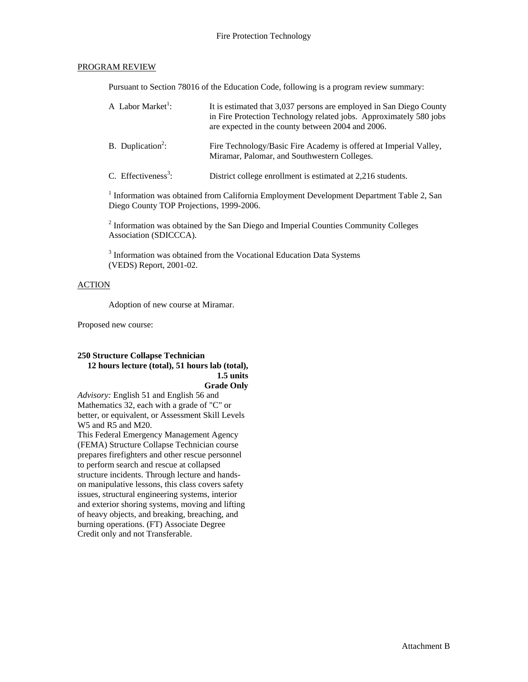# PROGRAM REVIEW

Pursuant to Section 78016 of the Education Code, following is a program review summary:

| A Labor Market <sup>1</sup> :   | It is estimated that 3,037 persons are employed in San Diego County<br>in Fire Protection Technology related jobs. Approximately 580 jobs<br>are expected in the county between 2004 and 2006. |
|---------------------------------|------------------------------------------------------------------------------------------------------------------------------------------------------------------------------------------------|
| B. Duplication <sup>2</sup> :   | Fire Technology/Basic Fire Academy is offered at Imperial Valley,<br>Miramar, Palomar, and Southwestern Colleges.                                                                              |
| C. Effectiveness <sup>3</sup> : | District college enrollment is estimated at 2,216 students.                                                                                                                                    |

<sup>1</sup> Information was obtained from California Employment Development Department Table 2, San Diego County TOP Projections, 1999-2006.

 $2$  Information was obtained by the San Diego and Imperial Counties Community Colleges Association (SDICCCA).

<sup>3</sup> Information was obtained from the Vocational Education Data Systems (VEDS) Report, 2001-02.

# ACTION

Adoption of new course at Miramar.

Proposed new course:

## **250 Structure Collapse Technician 12 hours lecture (total), 51 hours lab (total), 1.5 units Grade Only**

*Advisory:* English 51 and English 56 and Mathematics 32, each with a grade of "C" or better, or equivalent, or Assessment Skill Levels W5 and R5 and M20.

This Federal Emergency Management Agency (FEMA) Structure Collapse Technician course prepares firefighters and other rescue personnel to perform search and rescue at collapsed structure incidents. Through lecture and handson manipulative lessons, this class covers safety issues, structural engineering systems, interior and exterior shoring systems, moving and lifting of heavy objects, and breaking, breaching, and burning operations. (FT) Associate Degree Credit only and not Transferable.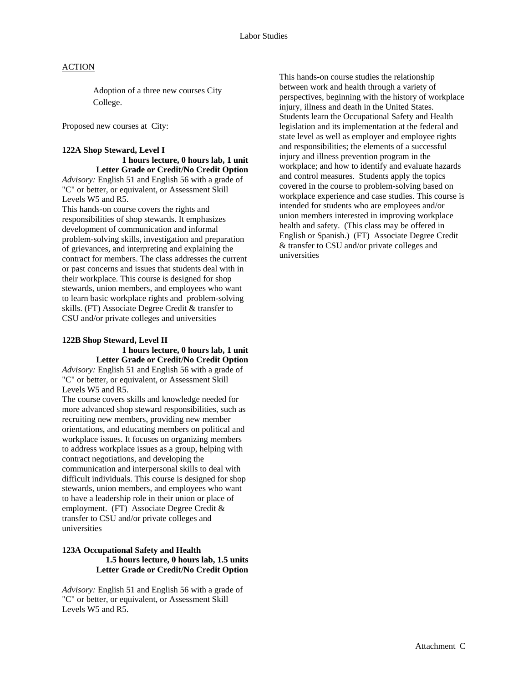# **ACTION**

Adoption of a three new courses City College.

Proposed new courses at City:

# **122A Shop Steward, Level I**

 **1 hours lecture, 0 hours lab, 1 unit Letter Grade or Credit/No Credit Option**  *Advisory:* English 51 and English 56 with a grade of "C" or better, or equivalent, or Assessment Skill Levels W5 and R5.

This hands-on course covers the rights and responsibilities of shop stewards. It emphasizes development of communication and informal problem-solving skills, investigation and preparation of grievances, and interpreting and explaining the contract for members. The class addresses the current or past concerns and issues that students deal with in their workplace. This course is designed for shop stewards, union members, and employees who want to learn basic workplace rights and problem-solving skills. (FT) Associate Degree Credit & transfer to CSU and/or private colleges and universities

## **122B Shop Steward, Level II 1 hours lecture, 0 hours lab, 1 unit Letter Grade or Credit/No Credit Option**

*Advisory:* English 51 and English 56 with a grade of "C" or better, or equivalent, or Assessment Skill Levels W5 and R5.

The course covers skills and knowledge needed for more advanced shop steward responsibilities, such as recruiting new members, providing new member orientations, and educating members on political and workplace issues. It focuses on organizing members to address workplace issues as a group, helping with contract negotiations, and developing the communication and interpersonal skills to deal with difficult individuals. This course is designed for shop stewards, union members, and employees who want to have a leadership role in their union or place of employment. (FT) Associate Degree Credit & transfer to CSU and/or private colleges and universities

# **123A Occupational Safety and Health 1.5 hours lecture, 0 hours lab, 1.5 units Letter Grade or Credit/No Credit Option**

*Advisory:* English 51 and English 56 with a grade of "C" or better, or equivalent, or Assessment Skill Levels W5 and R5.

This hands-on course studies the relationship between work and health through a variety of perspectives, beginning with the history of workplace injury, illness and death in the United States. Students learn the Occupational Safety and Health legislation and its implementation at the federal and state level as well as employer and employee rights and responsibilities; the elements of a successful injury and illness prevention program in the workplace; and how to identify and evaluate hazards and control measures. Students apply the topics covered in the course to problem-solving based on workplace experience and case studies. This course is intended for students who are employees and/or union members interested in improving workplace health and safety. (This class may be offered in English or Spanish.) (FT) Associate Degree Credit & transfer to CSU and/or private colleges and universities